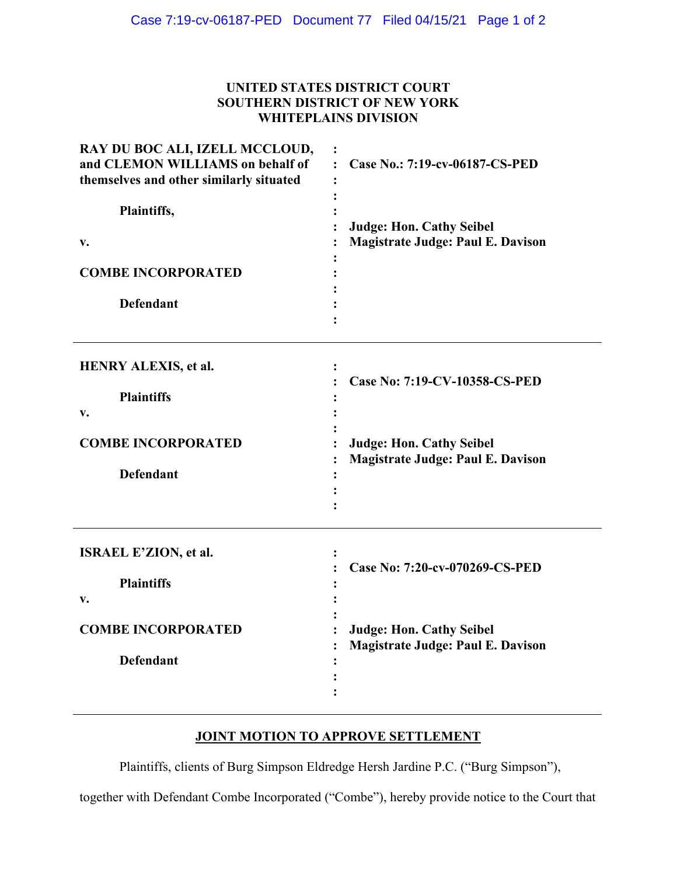## **UNITED STATES DISTRICT COURT SOUTHERN DISTRICT OF NEW YORK WHITEPLAINS DIVISION**

| RAY DU BOC ALI, IZELL MCCLOUD,<br>and CLEMON WILLIAMS on behalf of<br>themselves and other similarly situated | Case No.: 7:19-cv-06187-CS-PED<br>$\cdot$                                                                     |
|---------------------------------------------------------------------------------------------------------------|---------------------------------------------------------------------------------------------------------------|
| Plaintiffs,<br>V.                                                                                             | <b>Judge: Hon. Cathy Seibel</b><br><b>Magistrate Judge: Paul E. Davison</b>                                   |
| <b>COMBE INCORPORATED</b><br><b>Defendant</b>                                                                 |                                                                                                               |
| <b>HENRY ALEXIS, et al.</b><br><b>Plaintiffs</b><br>v.<br><b>COMBE INCORPORATED</b><br><b>Defendant</b>       | Case No: 7:19-CV-10358-CS-PED<br><b>Judge: Hon. Cathy Seibel</b><br><b>Magistrate Judge: Paul E. Davison</b>  |
| ISRAEL E'ZION, et al.<br><b>Plaintiffs</b><br>v.<br><b>COMBE INCORPORATED</b><br><b>Defendant</b>             | Case No: 7:20-cv-070269-CS-PED<br><b>Judge: Hon. Cathy Seibel</b><br><b>Magistrate Judge: Paul E. Davison</b> |

## **JOINT MOTION TO APPROVE SETTLEMENT**

Plaintiffs, clients of Burg Simpson Eldredge Hersh Jardine P.C. ("Burg Simpson"),

together with Defendant Combe Incorporated ("Combe"), hereby provide notice to the Court that